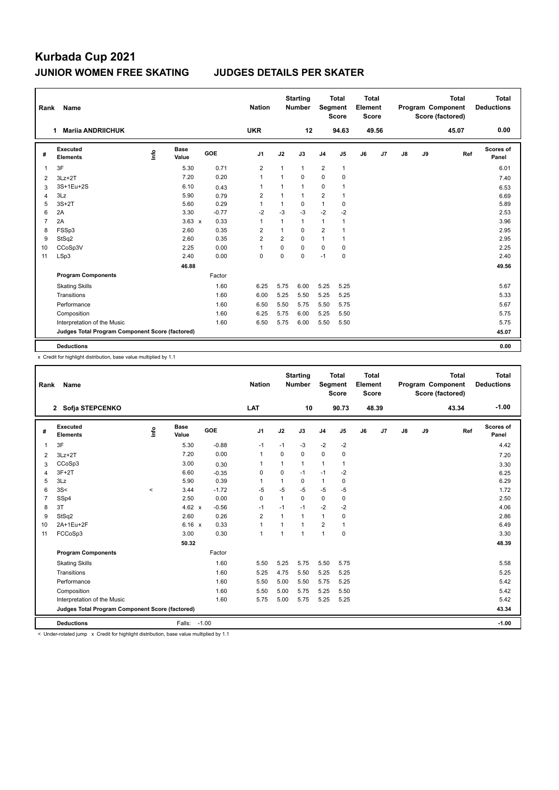| Rank           | <b>Name</b>                                     |                                  |                      |         | <b>Nation</b>  |                         | <b>Starting</b><br><b>Number</b> | Segment        | <b>Total</b><br><b>Score</b> | Total<br>Element<br><b>Score</b> |       |    |    | <b>Total</b><br>Program Component<br>Score (factored) | Total<br><b>Deductions</b> |
|----------------|-------------------------------------------------|----------------------------------|----------------------|---------|----------------|-------------------------|----------------------------------|----------------|------------------------------|----------------------------------|-------|----|----|-------------------------------------------------------|----------------------------|
|                | <b>Marija ANDRIICHUK</b><br>1                   |                                  |                      |         | <b>UKR</b>     |                         | 12                               |                | 94.63                        |                                  | 49.56 |    |    | 45.07                                                 | 0.00                       |
| #              | Executed<br><b>Elements</b>                     | $\mathop{\mathsf{Int}}\nolimits$ | <b>Base</b><br>Value | GOE     | J <sub>1</sub> | J2                      | J3                               | J <sub>4</sub> | J5                           | J6                               | J7    | J8 | J9 | Ref                                                   | Scores of<br>Panel         |
| $\mathbf{1}$   | 3F                                              |                                  | 5.30                 | 0.71    | $\overline{2}$ | $\mathbf{1}$            | $\mathbf{1}$                     | $\overline{2}$ | $\mathbf{1}$                 |                                  |       |    |    |                                                       | 6.01                       |
| 2              | $3Lz + 2T$                                      |                                  | 7.20                 | 0.20    | $\mathbf{1}$   | $\overline{1}$          | 0                                | $\Omega$       | $\mathbf 0$                  |                                  |       |    |    |                                                       | 7.40                       |
| 3              | 3S+1Eu+2S                                       |                                  | 6.10                 | 0.43    | $\mathbf{1}$   |                         | 1                                | 0              | 1                            |                                  |       |    |    |                                                       | 6.53                       |
| $\overline{4}$ | 3Lz                                             |                                  | 5.90                 | 0.79    | $\overline{2}$ | 1                       | $\mathbf{1}$                     | $\overline{2}$ | 1                            |                                  |       |    |    |                                                       | 6.69                       |
| 5              | $3S+2T$                                         |                                  | 5.60                 | 0.29    | 1              |                         | 0                                | $\mathbf{1}$   | $\mathbf 0$                  |                                  |       |    |    |                                                       | 5.89                       |
| 6              | 2A                                              |                                  | 3.30                 | $-0.77$ | $-2$           | $-3$                    | $-3$                             | $-2$           | $-2$                         |                                  |       |    |    |                                                       | 2.53                       |
| $\overline{7}$ | 2A                                              |                                  | $3.63 \times$        | 0.33    | $\mathbf{1}$   | $\overline{1}$          | 1                                | $\mathbf{1}$   | 1                            |                                  |       |    |    |                                                       | 3.96                       |
| 8              | FSSp3                                           |                                  | 2.60                 | 0.35    | $\overline{2}$ | 1                       | $\Omega$                         | $\overline{2}$ | 1                            |                                  |       |    |    |                                                       | 2.95                       |
| 9              | StSq2                                           |                                  | 2.60                 | 0.35    | $\overline{2}$ | $\overline{\mathbf{c}}$ | 0                                | $\mathbf{1}$   | 1                            |                                  |       |    |    |                                                       | 2.95                       |
| 10             | CCoSp3V                                         |                                  | 2.25                 | 0.00    | $\mathbf{1}$   | $\Omega$                | 0                                | $\mathbf 0$    | 0                            |                                  |       |    |    |                                                       | 2.25                       |
| 11             | LSp3                                            |                                  | 2.40                 | 0.00    | $\mathbf 0$    | $\Omega$                | 0                                | $-1$           | $\mathbf 0$                  |                                  |       |    |    |                                                       | 2.40                       |
|                |                                                 |                                  | 46.88                |         |                |                         |                                  |                |                              |                                  |       |    |    |                                                       | 49.56                      |
|                | <b>Program Components</b>                       |                                  |                      | Factor  |                |                         |                                  |                |                              |                                  |       |    |    |                                                       |                            |
|                | <b>Skating Skills</b>                           |                                  |                      | 1.60    | 6.25           | 5.75                    | 6.00                             | 5.25           | 5.25                         |                                  |       |    |    |                                                       | 5.67                       |
|                | Transitions                                     |                                  |                      | 1.60    | 6.00           | 5.25                    | 5.50                             | 5.25           | 5.25                         |                                  |       |    |    |                                                       | 5.33                       |
|                | Performance                                     |                                  |                      | 1.60    | 6.50           | 5.50                    | 5.75                             | 5.50           | 5.75                         |                                  |       |    |    |                                                       | 5.67                       |
|                | Composition                                     |                                  |                      | 1.60    | 6.25           | 5.75                    | 6.00                             | 5.25           | 5.50                         |                                  |       |    |    |                                                       | 5.75                       |
|                | Interpretation of the Music                     |                                  |                      | 1.60    | 6.50           | 5.75                    | 6.00                             | 5.50           | 5.50                         |                                  |       |    |    |                                                       | 5.75                       |
|                | Judges Total Program Component Score (factored) |                                  |                      |         |                |                         |                                  |                |                              |                                  |       |    |    |                                                       | 45.07                      |
|                | <b>Deductions</b>                               |                                  |                      |         |                |                         |                                  |                |                              |                                  |       |    |    |                                                       | 0.00                       |

x Credit for highlight distribution, base value multiplied by 1.1

| Rank           | Name                                            |         |                      |         | <b>Nation</b>  |          | <b>Starting</b><br><b>Number</b> | Segment        | <b>Total</b><br><b>Score</b> | Total<br>Element<br><b>Score</b> |                |               |    | <b>Total</b><br>Program Component<br>Score (factored) | <b>Total</b><br><b>Deductions</b> |
|----------------|-------------------------------------------------|---------|----------------------|---------|----------------|----------|----------------------------------|----------------|------------------------------|----------------------------------|----------------|---------------|----|-------------------------------------------------------|-----------------------------------|
|                | 2 Sofja STEPCENKO                               |         |                      |         | <b>LAT</b>     |          | 10                               |                | 90.73                        |                                  | 48.39          |               |    | 43.34                                                 | $-1.00$                           |
| #              | Executed<br><b>Elements</b>                     | ١nfo    | <b>Base</b><br>Value | GOE     | J <sub>1</sub> | J2       | J3                               | J <sub>4</sub> | J5                           | J6                               | J <sub>7</sub> | $\mathsf{J}8$ | J9 | Ref                                                   | Scores of<br>Panel                |
| 1              | 3F                                              |         | 5.30                 | $-0.88$ | $-1$           | $-1$     | $-3$                             | $-2$           | $-2$                         |                                  |                |               |    |                                                       | 4.42                              |
| 2              | $3Lz + 2T$                                      |         | 7.20                 | 0.00    | $\mathbf{1}$   | $\Omega$ | $\Omega$                         | $\Omega$       | $\mathbf 0$                  |                                  |                |               |    |                                                       | 7.20                              |
| 3              | CCoSp3                                          |         | 3.00                 | 0.30    | 1              | 1        | 1                                | $\mathbf{1}$   | 1                            |                                  |                |               |    |                                                       | 3.30                              |
| $\overline{4}$ | $3F+2T$                                         |         | 6.60                 | $-0.35$ | 0              | 0        | $-1$                             | $-1$           | $-2$                         |                                  |                |               |    |                                                       | 6.25                              |
| 5              | 3Lz                                             |         | 5.90                 | 0.39    | 1              | 1        | $\Omega$                         | $\mathbf{1}$   | 0                            |                                  |                |               |    |                                                       | 6.29                              |
| 6              | 3S<                                             | $\prec$ | 3.44                 | $-1.72$ | $-5$           | $-5$     | $-5$                             | $-5$           | $-5$                         |                                  |                |               |    |                                                       | 1.72                              |
| $\overline{7}$ | SSp4                                            |         | 2.50                 | 0.00    | 0              | 1        | $\Omega$                         | $\mathbf 0$    | 0                            |                                  |                |               |    |                                                       | 2.50                              |
| 8              | 3T                                              |         | 4.62 $x$             | $-0.56$ | $-1$           | $-1$     | $-1$                             | $-2$           | $-2$                         |                                  |                |               |    |                                                       | 4.06                              |
| 9              | StSq2                                           |         | 2.60                 | 0.26    | $\overline{2}$ | 1        | 1                                | $\mathbf{1}$   | 0                            |                                  |                |               |    |                                                       | 2.86                              |
| 10             | 2A+1Eu+2F                                       |         | 6.16 x               | 0.33    | 1              | 1        | 1                                | $\overline{2}$ | 1                            |                                  |                |               |    |                                                       | 6.49                              |
| 11             | FCCoSp3                                         |         | 3.00                 | 0.30    | $\mathbf{1}$   | 1        | $\overline{1}$                   | $\mathbf{1}$   | 0                            |                                  |                |               |    |                                                       | 3.30                              |
|                |                                                 |         | 50.32                |         |                |          |                                  |                |                              |                                  |                |               |    |                                                       | 48.39                             |
|                | <b>Program Components</b>                       |         |                      | Factor  |                |          |                                  |                |                              |                                  |                |               |    |                                                       |                                   |
|                | <b>Skating Skills</b>                           |         |                      | 1.60    | 5.50           | 5.25     | 5.75                             | 5.50           | 5.75                         |                                  |                |               |    |                                                       | 5.58                              |
|                | Transitions                                     |         |                      | 1.60    | 5.25           | 4.75     | 5.50                             | 5.25           | 5.25                         |                                  |                |               |    |                                                       | 5.25                              |
|                | Performance                                     |         |                      | 1.60    | 5.50           | 5.00     | 5.50                             | 5.75           | 5.25                         |                                  |                |               |    |                                                       | 5.42                              |
|                | Composition                                     |         |                      | 1.60    | 5.50           | 5.00     | 5.75                             | 5.25           | 5.50                         |                                  |                |               |    |                                                       | 5.42                              |
|                | Interpretation of the Music                     |         |                      | 1.60    | 5.75           | 5.00     | 5.75                             | 5.25           | 5.25                         |                                  |                |               |    |                                                       | 5.42                              |
|                | Judges Total Program Component Score (factored) |         |                      |         |                |          |                                  |                |                              |                                  |                |               |    |                                                       | 43.34                             |
|                | <b>Deductions</b>                               |         | Falls: -1.00         |         |                |          |                                  |                |                              |                                  |                |               |    |                                                       | $-1.00$                           |

< Under-rotated jump x Credit for highlight distribution, base value multiplied by 1.1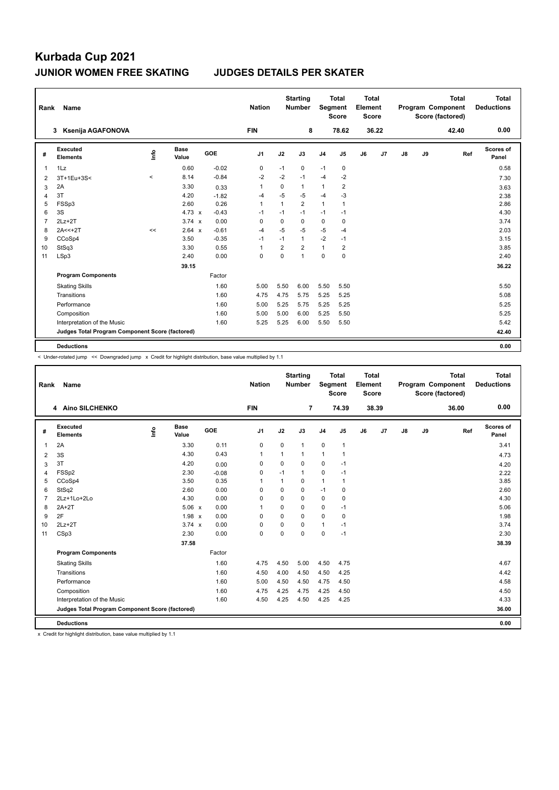| Rank           | <b>Name</b>                                     |       |                      |         | <b>Nation</b>  |                | <b>Starting</b><br>Number | Segment        | <b>Total</b><br><b>Score</b> | Total<br>Element<br><b>Score</b> |       |    |    | <b>Total</b><br>Program Component<br>Score (factored) | Total<br><b>Deductions</b> |
|----------------|-------------------------------------------------|-------|----------------------|---------|----------------|----------------|---------------------------|----------------|------------------------------|----------------------------------|-------|----|----|-------------------------------------------------------|----------------------------|
|                | Ksenija AGAFONOVA<br>3                          |       |                      |         | <b>FIN</b>     |                | 8                         |                | 78.62                        |                                  | 36.22 |    |    | 42.40                                                 | 0.00                       |
| #              | Executed<br><b>Elements</b>                     | ۴     | <b>Base</b><br>Value | GOE     | J <sub>1</sub> | J2             | J3                        | J <sub>4</sub> | J5                           | J6                               | J7    | J8 | J9 | Ref                                                   | Scores of<br>Panel         |
| $\overline{1}$ | 1Lz                                             |       | 0.60                 | $-0.02$ | 0              | $-1$           | 0                         | $-1$           | 0                            |                                  |       |    |    |                                                       | 0.58                       |
| 2              | 3T+1Eu+3S<                                      | $\,<$ | 8.14                 | $-0.84$ | $-2$           | $-2$           | $-1$                      | $-4$           | $-2$                         |                                  |       |    |    |                                                       | 7.30                       |
| 3              | 2A                                              |       | 3.30                 | 0.33    | 1              | 0              | 1                         | $\mathbf{1}$   | $\overline{2}$               |                                  |       |    |    |                                                       | 3.63                       |
| $\overline{4}$ | 3T                                              |       | 4.20                 | $-1.82$ | $-4$           | $-5$           | $-5$                      | $-4$           | $-3$                         |                                  |       |    |    |                                                       | 2.38                       |
| 5              | FSSp3                                           |       | 2.60                 | 0.26    | $\mathbf{1}$   | $\overline{1}$ | $\overline{2}$            | $\mathbf{1}$   | 1                            |                                  |       |    |    |                                                       | 2.86                       |
| 6              | 3S                                              |       | 4.73 $\times$        | $-0.43$ | $-1$           | $-1$           | $-1$                      | $-1$           | $-1$                         |                                  |       |    |    |                                                       | 4.30                       |
| $\overline{7}$ | $2Lz+2T$                                        |       | $3.74 \times$        | 0.00    | $\mathbf 0$    | $\mathbf 0$    | 0                         | $\mathbf 0$    | 0                            |                                  |       |    |    |                                                       | 3.74                       |
| 8              | $2A < +2T$                                      | <<    | 2.64 x               | $-0.61$ | $-4$           | $-5$           | $-5$                      | $-5$           | $-4$                         |                                  |       |    |    |                                                       | 2.03                       |
| 9              | CCoSp4                                          |       | 3.50                 | $-0.35$ | $-1$           | $-1$           | 1                         | $-2$           | $-1$                         |                                  |       |    |    |                                                       | 3.15                       |
| 10             | StSq3                                           |       | 3.30                 | 0.55    | $\mathbf{1}$   | $\overline{2}$ | $\overline{2}$            | $\mathbf{1}$   | 2                            |                                  |       |    |    |                                                       | 3.85                       |
| 11             | LSp3                                            |       | 2.40                 | 0.00    | $\mathbf 0$    | $\mathbf 0$    | $\mathbf{1}$              | $\mathbf 0$    | $\mathbf 0$                  |                                  |       |    |    |                                                       | 2.40                       |
|                |                                                 |       | 39.15                |         |                |                |                           |                |                              |                                  |       |    |    |                                                       | 36.22                      |
|                | <b>Program Components</b>                       |       |                      | Factor  |                |                |                           |                |                              |                                  |       |    |    |                                                       |                            |
|                | <b>Skating Skills</b>                           |       |                      | 1.60    | 5.00           | 5.50           | 6.00                      | 5.50           | 5.50                         |                                  |       |    |    |                                                       | 5.50                       |
|                | Transitions                                     |       |                      | 1.60    | 4.75           | 4.75           | 5.75                      | 5.25           | 5.25                         |                                  |       |    |    |                                                       | 5.08                       |
|                | Performance                                     |       |                      | 1.60    | 5.00           | 5.25           | 5.75                      | 5.25           | 5.25                         |                                  |       |    |    |                                                       | 5.25                       |
|                | Composition                                     |       |                      | 1.60    | 5.00           | 5.00           | 6.00                      | 5.25           | 5.50                         |                                  |       |    |    |                                                       | 5.25                       |
|                | Interpretation of the Music                     |       |                      | 1.60    | 5.25           | 5.25           | 6.00                      | 5.50           | 5.50                         |                                  |       |    |    |                                                       | 5.42                       |
|                | Judges Total Program Component Score (factored) |       |                      |         |                |                |                           |                |                              |                                  |       |    |    |                                                       | 42.40                      |
|                | <b>Deductions</b>                               |       |                      |         |                |                |                           |                |                              |                                  |       |    |    |                                                       | 0.00                       |

< Under-rotated jump << Downgraded jump x Credit for highlight distribution, base value multiplied by 1.1

| Rank           | <b>Name</b>                                     |    |                      |         | <b>Nation</b> |                | <b>Starting</b><br><b>Number</b> | Segment        | <b>Total</b><br><b>Score</b> | Total<br>Element<br><b>Score</b> |       |    |    | <b>Total</b><br>Program Component<br>Score (factored) | Total<br><b>Deductions</b> |
|----------------|-------------------------------------------------|----|----------------------|---------|---------------|----------------|----------------------------------|----------------|------------------------------|----------------------------------|-------|----|----|-------------------------------------------------------|----------------------------|
|                | 4 Aino SILCHENKO                                |    |                      |         | <b>FIN</b>    |                | $\overline{7}$                   |                | 74.39                        |                                  | 38.39 |    |    | 36.00                                                 | 0.00                       |
| #              | Executed<br><b>Elements</b>                     | ۴ů | <b>Base</b><br>Value | GOE     | J1            | J2             | J3                               | J <sub>4</sub> | J5                           | J6                               | J7    | J8 | J9 | Ref                                                   | Scores of<br>Panel         |
| $\mathbf{1}$   | 2A                                              |    | 3.30                 | 0.11    | 0             | $\mathbf 0$    | 1                                | $\mathbf 0$    | $\mathbf{1}$                 |                                  |       |    |    |                                                       | 3.41                       |
| 2              | 3S                                              |    | 4.30                 | 0.43    | 1             | 1              | 1                                | $\mathbf{1}$   | 1                            |                                  |       |    |    |                                                       | 4.73                       |
| 3              | 3T                                              |    | 4.20                 | 0.00    | 0             | $\mathbf 0$    | 0                                | $\mathbf 0$    | $-1$                         |                                  |       |    |    |                                                       | 4.20                       |
| 4              | FSSp2                                           |    | 2.30                 | $-0.08$ | $\mathbf 0$   | $-1$           | $\mathbf{1}$                     | $\mathbf 0$    | $-1$                         |                                  |       |    |    |                                                       | 2.22                       |
| 5              | CCoSp4                                          |    | 3.50                 | 0.35    | 1             | $\overline{1}$ | 0                                | $\mathbf{1}$   | 1                            |                                  |       |    |    |                                                       | 3.85                       |
| 6              | StSq2                                           |    | 2.60                 | 0.00    | $\Omega$      | $\Omega$       | 0                                | $-1$           | 0                            |                                  |       |    |    |                                                       | 2.60                       |
| $\overline{7}$ | $2Lz+1Lo+2Lo$                                   |    | 4.30                 | 0.00    | 0             | $\Omega$       | 0                                | $\mathbf 0$    | 0                            |                                  |       |    |    |                                                       | 4.30                       |
| 8              | $2A+2T$                                         |    | $5.06 \times$        | 0.00    | $\mathbf{1}$  | $\Omega$       | 0                                | $\mathbf 0$    | $-1$                         |                                  |       |    |    |                                                       | 5.06                       |
| 9              | 2F                                              |    | 1.98 x               | 0.00    | $\Omega$      | $\Omega$       | 0                                | $\Omega$       | 0                            |                                  |       |    |    |                                                       | 1.98                       |
| 10             | $2Lz+2T$                                        |    | $3.74 \times$        | 0.00    | $\Omega$      | $\Omega$       | 0                                | $\mathbf{1}$   | $-1$                         |                                  |       |    |    |                                                       | 3.74                       |
| 11             | CSp3                                            |    | 2.30                 | 0.00    | 0             | $\Omega$       | 0                                | $\mathbf 0$    | $-1$                         |                                  |       |    |    |                                                       | 2.30                       |
|                |                                                 |    | 37.58                |         |               |                |                                  |                |                              |                                  |       |    |    |                                                       | 38.39                      |
|                | <b>Program Components</b>                       |    |                      | Factor  |               |                |                                  |                |                              |                                  |       |    |    |                                                       |                            |
|                | <b>Skating Skills</b>                           |    |                      | 1.60    | 4.75          | 4.50           | 5.00                             | 4.50           | 4.75                         |                                  |       |    |    |                                                       | 4.67                       |
|                | Transitions                                     |    |                      | 1.60    | 4.50          | 4.00           | 4.50                             | 4.50           | 4.25                         |                                  |       |    |    |                                                       | 4.42                       |
|                | Performance                                     |    |                      | 1.60    | 5.00          | 4.50           | 4.50                             | 4.75           | 4.50                         |                                  |       |    |    |                                                       | 4.58                       |
|                | Composition                                     |    |                      | 1.60    | 4.75          | 4.25           | 4.75                             | 4.25           | 4.50                         |                                  |       |    |    |                                                       | 4.50                       |
|                | Interpretation of the Music                     |    |                      | 1.60    | 4.50          | 4.25           | 4.50                             | 4.25           | 4.25                         |                                  |       |    |    |                                                       | 4.33                       |
|                | Judges Total Program Component Score (factored) |    |                      |         |               |                |                                  |                |                              |                                  |       |    |    |                                                       | 36.00                      |
|                | <b>Deductions</b>                               |    |                      |         |               |                |                                  |                |                              |                                  |       |    |    |                                                       | 0.00                       |

x Credit for highlight distribution, base value multiplied by 1.1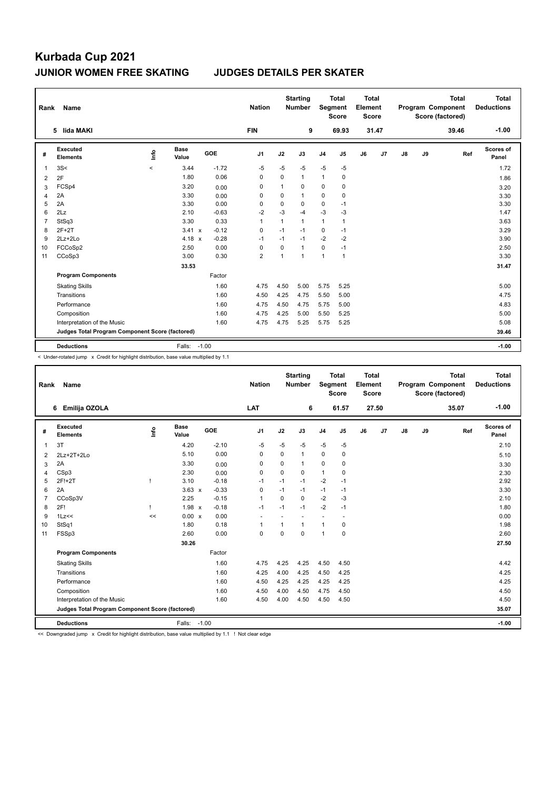| Rank           | Name                                            |         |                      |         | <b>Nation</b>  |                | <b>Starting</b><br><b>Number</b> | Segment        | <b>Total</b><br><b>Score</b> | <b>Total</b><br>Element<br><b>Score</b> |       |    |    | <b>Total</b><br>Program Component<br>Score (factored) | <b>Total</b><br><b>Deductions</b> |
|----------------|-------------------------------------------------|---------|----------------------|---------|----------------|----------------|----------------------------------|----------------|------------------------------|-----------------------------------------|-------|----|----|-------------------------------------------------------|-----------------------------------|
|                | 5 lida MAKI                                     |         |                      |         | <b>FIN</b>     |                | 9                                |                | 69.93                        |                                         | 31.47 |    |    | 39.46                                                 | $-1.00$                           |
| #              | <b>Executed</b><br><b>Elements</b>              | ۴       | <b>Base</b><br>Value | GOE     | J <sub>1</sub> | J2             | J3                               | J <sub>4</sub> | J5                           | J6                                      | J7    | J8 | J9 | Ref                                                   | Scores of<br>Panel                |
| 1              | 3S<                                             | $\prec$ | 3.44                 | $-1.72$ | $-5$           | $-5$           | $-5$                             | $-5$           | $-5$                         |                                         |       |    |    |                                                       | 1.72                              |
| 2              | 2F                                              |         | 1.80                 | 0.06    | $\Omega$       | $\Omega$       | $\mathbf{1}$                     | $\mathbf{1}$   | $\mathbf 0$                  |                                         |       |    |    |                                                       | 1.86                              |
| 3              | FCSp4                                           |         | 3.20                 | 0.00    | 0              | 1              | 0                                | 0              | $\mathbf 0$                  |                                         |       |    |    |                                                       | 3.20                              |
| $\overline{4}$ | 2A                                              |         | 3.30                 | 0.00    | 0              | 0              | $\mathbf{1}$                     | 0              | 0                            |                                         |       |    |    |                                                       | 3.30                              |
| 5              | 2A                                              |         | 3.30                 | 0.00    | 0              | 0              | 0                                | 0              | $-1$                         |                                         |       |    |    |                                                       | 3.30                              |
| 6              | 2Lz                                             |         | 2.10                 | $-0.63$ | $-2$           | $-3$           | $-4$                             | $-3$           | -3                           |                                         |       |    |    |                                                       | 1.47                              |
| $\overline{7}$ | StSq3                                           |         | 3.30                 | 0.33    | $\mathbf{1}$   | $\mathbf{1}$   | $\mathbf{1}$                     | $\mathbf{1}$   | $\mathbf{1}$                 |                                         |       |    |    |                                                       | 3.63                              |
| 8              | $2F+2T$                                         |         | $3.41 \times$        | $-0.12$ | 0              | $-1$           | $-1$                             | 0              | $-1$                         |                                         |       |    |    |                                                       | 3.29                              |
| 9              | $2Lz+2Lo$                                       |         | 4.18 $x$             | $-0.28$ | $-1$           | $-1$           | $-1$                             | $-2$           | $-2$                         |                                         |       |    |    |                                                       | 3.90                              |
| 10             | FCCoSp2                                         |         | 2.50                 | 0.00    | $\Omega$       | $\Omega$       | $\mathbf{1}$                     | 0              | $-1$                         |                                         |       |    |    |                                                       | 2.50                              |
| 11             | CCoSp3                                          |         | 3.00                 | 0.30    | $\overline{2}$ | $\overline{1}$ | 1                                | $\mathbf{1}$   | $\mathbf{1}$                 |                                         |       |    |    |                                                       | 3.30                              |
|                |                                                 |         | 33.53                |         |                |                |                                  |                |                              |                                         |       |    |    |                                                       | 31.47                             |
|                | <b>Program Components</b>                       |         |                      | Factor  |                |                |                                  |                |                              |                                         |       |    |    |                                                       |                                   |
|                | <b>Skating Skills</b>                           |         |                      | 1.60    | 4.75           | 4.50           | 5.00                             | 5.75           | 5.25                         |                                         |       |    |    |                                                       | 5.00                              |
|                | Transitions                                     |         |                      | 1.60    | 4.50           | 4.25           | 4.75                             | 5.50           | 5.00                         |                                         |       |    |    |                                                       | 4.75                              |
|                | Performance                                     |         |                      | 1.60    | 4.75           | 4.50           | 4.75                             | 5.75           | 5.00                         |                                         |       |    |    |                                                       | 4.83                              |
|                | Composition                                     |         |                      | 1.60    | 4.75           | 4.25           | 5.00                             | 5.50           | 5.25                         |                                         |       |    |    |                                                       | 5.00                              |
|                | Interpretation of the Music                     |         |                      | 1.60    | 4.75           | 4.75           | 5.25                             | 5.75           | 5.25                         |                                         |       |    |    |                                                       | 5.08                              |
|                | Judges Total Program Component Score (factored) |         |                      |         |                |                |                                  |                |                              |                                         |       |    |    |                                                       | 39.46                             |
|                | <b>Deductions</b>                               |         | Falls:               | $-1.00$ |                |                |                                  |                |                              |                                         |       |    |    |                                                       | $-1.00$                           |

< Under-rotated jump x Credit for highlight distribution, base value multiplied by 1.1

| Rank           | Name                                            |      |                      |         | <b>Nation</b>            |              | <b>Starting</b><br><b>Number</b> | Segment        | <b>Total</b><br><b>Score</b> | <b>Total</b><br>Element<br><b>Score</b> |                |               |    | <b>Total</b><br>Program Component<br>Score (factored) | <b>Total</b><br><b>Deductions</b> |
|----------------|-------------------------------------------------|------|----------------------|---------|--------------------------|--------------|----------------------------------|----------------|------------------------------|-----------------------------------------|----------------|---------------|----|-------------------------------------------------------|-----------------------------------|
|                | Emilija OZOLA<br>6                              |      |                      |         | LAT                      |              | 6                                |                | 61.57                        |                                         | 27.50          |               |    | 35.07                                                 | $-1.00$                           |
| #              | <b>Executed</b><br><b>Elements</b>              | Life | <b>Base</b><br>Value | GOE     | J <sub>1</sub>           | J2           | J3                               | J <sub>4</sub> | J5                           | J6                                      | J <sub>7</sub> | $\mathsf{J}8$ | J9 | Ref                                                   | <b>Scores of</b><br>Panel         |
| 1              | 3T                                              |      | 4.20                 | $-2.10$ | $-5$                     | $-5$         | $-5$                             | $-5$           | $-5$                         |                                         |                |               |    |                                                       | 2.10                              |
| 2              | 2Lz+2T+2Lo                                      |      | 5.10                 | 0.00    | 0                        | $\Omega$     | 1                                | $\mathbf 0$    | $\mathbf 0$                  |                                         |                |               |    |                                                       | 5.10                              |
| 3              | 2A                                              |      | 3.30                 | 0.00    | 0                        | 0            | 1                                | 0              | 0                            |                                         |                |               |    |                                                       | 3.30                              |
| 4              | CSp3                                            |      | 2.30                 | 0.00    | 0                        | 0            | 0                                | $\mathbf{1}$   | $\mathbf 0$                  |                                         |                |               |    |                                                       | 2.30                              |
| 5              | 2F!+2T                                          |      | 3.10                 | $-0.18$ | $-1$                     | $-1$         | $-1$                             | $-2$           | $-1$                         |                                         |                |               |    |                                                       | 2.92                              |
| 6              | 2A                                              |      | $3.63 \times$        | $-0.33$ | 0                        | $-1$         | $-1$                             | $-1$           | $-1$                         |                                         |                |               |    |                                                       | 3.30                              |
| $\overline{7}$ | CCoSp3V                                         |      | 2.25                 | $-0.15$ | $\mathbf{1}$             | $\Omega$     | $\Omega$                         | $-2$           | $-3$                         |                                         |                |               |    |                                                       | 2.10                              |
| 8              | 2F!                                             |      | $1.98 \times$        | $-0.18$ | $-1$                     | $-1$         | $-1$                             | $-2$           | $-1$                         |                                         |                |               |    |                                                       | 1.80                              |
| 9              | 1Lz<<                                           | <<   | $0.00 \times$        | 0.00    | $\overline{\phantom{a}}$ |              |                                  | ٠              | $\overline{\phantom{a}}$     |                                         |                |               |    |                                                       | 0.00                              |
| 10             | StSq1                                           |      | 1.80                 | 0.18    | $\mathbf{1}$             | $\mathbf{1}$ | 1                                | $\mathbf{1}$   | 0                            |                                         |                |               |    |                                                       | 1.98                              |
| 11             | FSSp3                                           |      | 2.60                 | 0.00    | $\mathbf 0$              | $\Omega$     | 0                                | $\overline{1}$ | 0                            |                                         |                |               |    |                                                       | 2.60                              |
|                |                                                 |      | 30.26                |         |                          |              |                                  |                |                              |                                         |                |               |    |                                                       | 27.50                             |
|                | <b>Program Components</b>                       |      |                      | Factor  |                          |              |                                  |                |                              |                                         |                |               |    |                                                       |                                   |
|                | <b>Skating Skills</b>                           |      |                      | 1.60    | 4.75                     | 4.25         | 4.25                             | 4.50           | 4.50                         |                                         |                |               |    |                                                       | 4.42                              |
|                | Transitions                                     |      |                      | 1.60    | 4.25                     | 4.00         | 4.25                             | 4.50           | 4.25                         |                                         |                |               |    |                                                       | 4.25                              |
|                | Performance                                     |      |                      | 1.60    | 4.50                     | 4.25         | 4.25                             | 4.25           | 4.25                         |                                         |                |               |    |                                                       | 4.25                              |
|                | Composition                                     |      |                      | 1.60    | 4.50                     | 4.00         | 4.50                             | 4.75           | 4.50                         |                                         |                |               |    |                                                       | 4.50                              |
|                | Interpretation of the Music                     |      |                      | 1.60    | 4.50                     | 4.00         | 4.50                             | 4.50           | 4.50                         |                                         |                |               |    |                                                       | 4.50                              |
|                | Judges Total Program Component Score (factored) |      |                      |         |                          |              |                                  |                |                              |                                         |                |               |    |                                                       | 35.07                             |
|                | <b>Deductions</b>                               |      | Falls: -1.00         |         |                          |              |                                  |                |                              |                                         |                |               |    |                                                       | $-1.00$                           |

<< Downgraded jump x Credit for highlight distribution, base value multiplied by 1.1 ! Not clear edge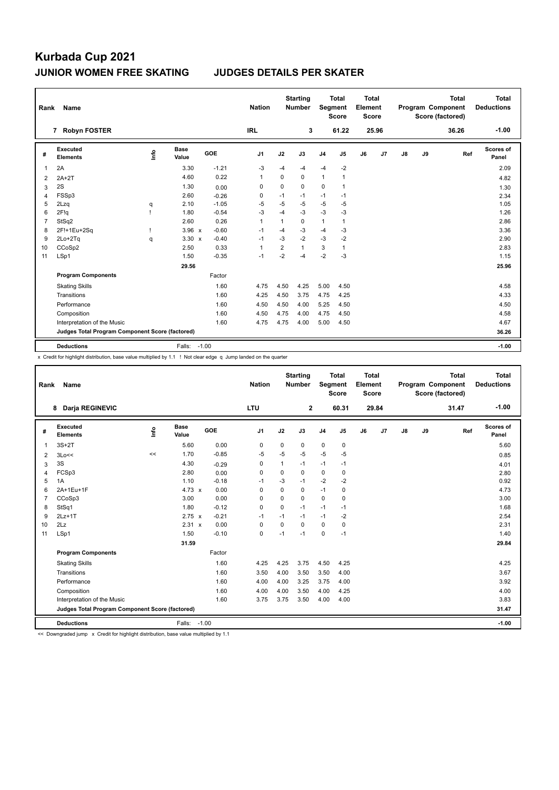| Rank           | Name                                            |                                  |                      |         | <b>Nation</b>  |                | <b>Starting</b><br><b>Number</b> |                | <b>Total</b><br>Segment<br><b>Score</b> | <b>Total</b><br>Element<br><b>Score</b> |                |               |    | <b>Total</b><br>Program Component<br>Score (factored) | <b>Total</b><br><b>Deductions</b> |
|----------------|-------------------------------------------------|----------------------------------|----------------------|---------|----------------|----------------|----------------------------------|----------------|-----------------------------------------|-----------------------------------------|----------------|---------------|----|-------------------------------------------------------|-----------------------------------|
|                | <b>Robyn FOSTER</b><br>7                        |                                  |                      |         | <b>IRL</b>     |                | 3                                |                | 61.22                                   |                                         | 25.96          |               |    | 36.26                                                 | $-1.00$                           |
| #              | <b>Executed</b><br><b>Elements</b>              | $\mathop{\mathsf{Irr}}\nolimits$ | <b>Base</b><br>Value | GOE     | J1             | J2             | J3                               | J <sub>4</sub> | J5                                      | J6                                      | J <sub>7</sub> | $\mathsf{J}8$ | J9 | Ref                                                   | <b>Scores of</b><br>Panel         |
| 1              | 2A                                              |                                  | 3.30                 | $-1.21$ | $-3$           | $-4$           | $-4$                             | $-4$           | $-2$                                    |                                         |                |               |    |                                                       | 2.09                              |
| 2              | $2A+2T$                                         |                                  | 4.60                 | 0.22    | $\overline{1}$ | 0              | 0                                | $\mathbf{1}$   | $\mathbf{1}$                            |                                         |                |               |    |                                                       | 4.82                              |
| 3              | 2S                                              |                                  | 1.30                 | 0.00    | 0              | 0              | 0                                | 0              | $\mathbf{1}$                            |                                         |                |               |    |                                                       | 1.30                              |
| 4              | FSSp3                                           |                                  | 2.60                 | $-0.26$ | 0              | $-1$           | $-1$                             | $-1$           | $-1$                                    |                                         |                |               |    |                                                       | 2.34                              |
| 5              | 2Lzq                                            | q                                | 2.10                 | $-1.05$ | $-5$           | $-5$           | $-5$                             | $-5$           | $-5$                                    |                                         |                |               |    |                                                       | 1.05                              |
| 6              | 2F!q                                            |                                  | 1.80                 | $-0.54$ | $-3$           | $-4$           | $-3$                             | $-3$           | $-3$                                    |                                         |                |               |    |                                                       | 1.26                              |
| $\overline{7}$ | StSq2                                           |                                  | 2.60                 | 0.26    | $\mathbf{1}$   | 1              | 0                                | $\mathbf{1}$   | 1                                       |                                         |                |               |    |                                                       | 2.86                              |
| 8              | 2F!+1Eu+2Sq                                     |                                  | $3.96 \times$        | $-0.60$ | $-1$           | $-4$           | $-3$                             | $-4$           | $-3$                                    |                                         |                |               |    |                                                       | 3.36                              |
| 9              | 2Lo+2Tq                                         | q                                | $3.30 \times$        | $-0.40$ | $-1$           | $-3$           | $-2$                             | $-3$           | $-2$                                    |                                         |                |               |    |                                                       | 2.90                              |
| 10             | CCoSp2                                          |                                  | 2.50                 | 0.33    | $\overline{1}$ | $\overline{2}$ | $\mathbf{1}$                     | 3              | $\mathbf{1}$                            |                                         |                |               |    |                                                       | 2.83                              |
| 11             | LSp1                                            |                                  | 1.50                 | $-0.35$ | $-1$           | $-2$           | $-4$                             | $-2$           | $-3$                                    |                                         |                |               |    |                                                       | 1.15                              |
|                |                                                 |                                  | 29.56                |         |                |                |                                  |                |                                         |                                         |                |               |    |                                                       | 25.96                             |
|                | <b>Program Components</b>                       |                                  |                      | Factor  |                |                |                                  |                |                                         |                                         |                |               |    |                                                       |                                   |
|                | <b>Skating Skills</b>                           |                                  |                      | 1.60    | 4.75           | 4.50           | 4.25                             | 5.00           | 4.50                                    |                                         |                |               |    |                                                       | 4.58                              |
|                | Transitions                                     |                                  |                      | 1.60    | 4.25           | 4.50           | 3.75                             | 4.75           | 4.25                                    |                                         |                |               |    |                                                       | 4.33                              |
|                | Performance                                     |                                  |                      | 1.60    | 4.50           | 4.50           | 4.00                             | 5.25           | 4.50                                    |                                         |                |               |    |                                                       | 4.50                              |
|                | Composition                                     |                                  |                      | 1.60    | 4.50           | 4.75           | 4.00                             | 4.75           | 4.50                                    |                                         |                |               |    |                                                       | 4.58                              |
|                | Interpretation of the Music                     |                                  |                      | 1.60    | 4.75           | 4.75           | 4.00                             | 5.00           | 4.50                                    |                                         |                |               |    |                                                       | 4.67                              |
|                | Judges Total Program Component Score (factored) |                                  |                      |         |                |                |                                  |                |                                         |                                         |                |               |    |                                                       | 36.26                             |
|                | <b>Deductions</b>                               |                                  | Falls:               | $-1.00$ |                |                |                                  |                |                                         |                                         |                |               |    |                                                       | $-1.00$                           |

x Credit for highlight distribution, base value multiplied by 1.1 ! Not clear edge q Jump landed on the quarter

| Rank           | Name                                            |      |                      |         | <b>Nation</b> |          | <b>Starting</b><br>Number | Segment        | <b>Total</b><br><b>Score</b> | <b>Total</b><br>Element<br><b>Score</b> |                |    |    | <b>Total</b><br>Program Component<br>Score (factored) | <b>Total</b><br><b>Deductions</b> |
|----------------|-------------------------------------------------|------|----------------------|---------|---------------|----------|---------------------------|----------------|------------------------------|-----------------------------------------|----------------|----|----|-------------------------------------------------------|-----------------------------------|
|                | <b>Darja REGINEVIC</b><br>8                     |      |                      |         | <b>LTU</b>    |          | $\mathbf{2}$              |                | 60.31                        |                                         | 29.84          |    |    | 31.47                                                 | $-1.00$                           |
| #              | Executed<br><b>Elements</b>                     | lnfo | <b>Base</b><br>Value | GOE     | J1            | J2       | J3                        | J <sub>4</sub> | J5                           | J6                                      | J <sub>7</sub> | J8 | J9 | Ref                                                   | <b>Scores of</b><br>Panel         |
| 1              | $3S+2T$                                         |      | 5.60                 | 0.00    | 0             | 0        | 0                         | 0              | 0                            |                                         |                |    |    |                                                       | 5.60                              |
| 2              | 3Lo<<                                           | <<   | 1.70                 | $-0.85$ | $-5$          | $-5$     | $-5$                      | $-5$           | $-5$                         |                                         |                |    |    |                                                       | 0.85                              |
| 3              | 3S                                              |      | 4.30                 | $-0.29$ | 0             | 1        | $-1$                      | $-1$           | $-1$                         |                                         |                |    |    |                                                       | 4.01                              |
| 4              | FCSp3                                           |      | 2.80                 | 0.00    | 0             | 0        | 0                         | $\mathbf 0$    | 0                            |                                         |                |    |    |                                                       | 2.80                              |
| 5              | 1A                                              |      | 1.10                 | $-0.18$ | $-1$          | $-3$     | $-1$                      | $-2$           | $-2$                         |                                         |                |    |    |                                                       | 0.92                              |
| 6              | 2A+1Eu+1F                                       |      | 4.73 $\times$        | 0.00    | 0             | $\Omega$ | 0                         | $-1$           | $\mathbf 0$                  |                                         |                |    |    |                                                       | 4.73                              |
| $\overline{7}$ | CCoSp3                                          |      | 3.00                 | 0.00    | $\Omega$      | $\Omega$ | $\Omega$                  | $\Omega$       | $\Omega$                     |                                         |                |    |    |                                                       | 3.00                              |
| 8              | StSq1                                           |      | 1.80                 | $-0.12$ | $\mathbf 0$   | $\Omega$ | $-1$                      | $-1$           | $-1$                         |                                         |                |    |    |                                                       | 1.68                              |
| 9              | $2Lz+1T$                                        |      | $2.75 \times$        | $-0.21$ | $-1$          | $-1$     | $-1$                      | $-1$           | -2                           |                                         |                |    |    |                                                       | 2.54                              |
| 10             | 2Lz                                             |      | 2.31 x               | 0.00    | 0             | 0        | $\Omega$                  | $\Omega$       | $\mathbf 0$                  |                                         |                |    |    |                                                       | 2.31                              |
| 11             | LSp1                                            |      | 1.50                 | $-0.10$ | 0             | $-1$     | $-1$                      | $\mathbf 0$    | $-1$                         |                                         |                |    |    |                                                       | 1.40                              |
|                |                                                 |      | 31.59                |         |               |          |                           |                |                              |                                         |                |    |    |                                                       | 29.84                             |
|                | <b>Program Components</b>                       |      |                      | Factor  |               |          |                           |                |                              |                                         |                |    |    |                                                       |                                   |
|                | <b>Skating Skills</b>                           |      |                      | 1.60    | 4.25          | 4.25     | 3.75                      | 4.50           | 4.25                         |                                         |                |    |    |                                                       | 4.25                              |
|                | Transitions                                     |      |                      | 1.60    | 3.50          | 4.00     | 3.50                      | 3.50           | 4.00                         |                                         |                |    |    |                                                       | 3.67                              |
|                | Performance                                     |      |                      | 1.60    | 4.00          | 4.00     | 3.25                      | 3.75           | 4.00                         |                                         |                |    |    |                                                       | 3.92                              |
|                | Composition                                     |      |                      | 1.60    | 4.00          | 4.00     | 3.50                      | 4.00           | 4.25                         |                                         |                |    |    |                                                       | 4.00                              |
|                | Interpretation of the Music                     |      |                      | 1.60    | 3.75          | 3.75     | 3.50                      | 4.00           | 4.00                         |                                         |                |    |    |                                                       | 3.83                              |
|                | Judges Total Program Component Score (factored) |      |                      |         |               |          |                           |                |                              |                                         |                |    |    |                                                       | 31.47                             |
|                | <b>Deductions</b>                               |      | Falls: -1.00         |         |               |          |                           |                |                              |                                         |                |    |    |                                                       | $-1.00$                           |

<< Downgraded jump x Credit for highlight distribution, base value multiplied by 1.1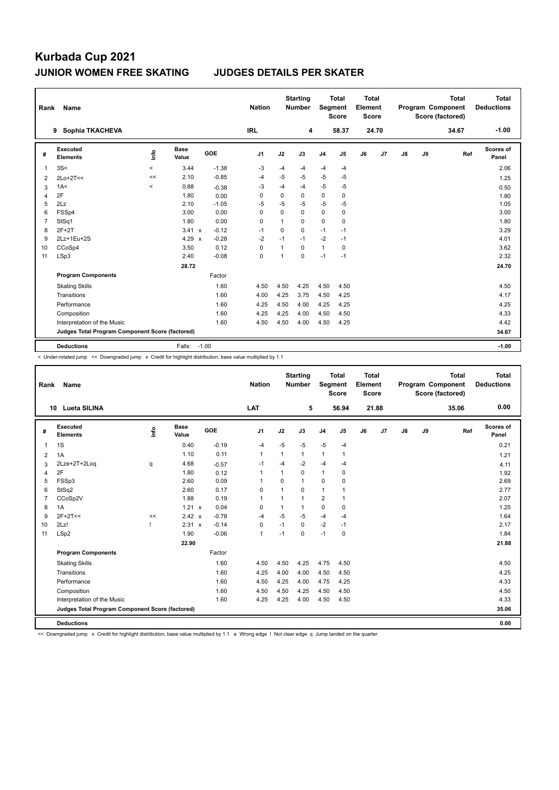| Rank           | <b>Name</b>                                     |          |                      |         | <b>Nation</b> |             | <b>Starting</b><br><b>Number</b> | Segment        | <b>Total</b><br><b>Score</b> | <b>Total</b><br>Element<br><b>Score</b> |       |    |    | <b>Total</b><br>Program Component<br>Score (factored) | <b>Total</b><br><b>Deductions</b> |
|----------------|-------------------------------------------------|----------|----------------------|---------|---------------|-------------|----------------------------------|----------------|------------------------------|-----------------------------------------|-------|----|----|-------------------------------------------------------|-----------------------------------|
|                | Sophia TKACHEVA<br>9                            |          |                      |         | <b>IRL</b>    |             | 4                                |                | 58.37                        |                                         | 24.70 |    |    | 34.67                                                 | $-1.00$                           |
| #              | Executed<br><b>Elements</b>                     | lnfo     | <b>Base</b><br>Value | GOE     | J1            | J2          | J3                               | J <sub>4</sub> | J5                           | J6                                      | J7    | J8 | J9 | Ref                                                   | <b>Scores of</b><br>Panel         |
| 1              | 3S<                                             | $\hat{}$ | 3.44                 | $-1.38$ | $-3$          | $-4$        | $-4$                             | -4             | $-4$                         |                                         |       |    |    |                                                       | 2.06                              |
| 2              | $2Lo+2T<<$                                      | <<       | 2.10                 | $-0.85$ | $-4$          | $-5$        | $-5$                             | $-5$           | $-5$                         |                                         |       |    |    |                                                       | 1.25                              |
| 3              | 1A<                                             | $\,<$    | 0.88                 | $-0.38$ | -3            | $-4$        | $-4$                             | $-5$           | $-5$                         |                                         |       |    |    |                                                       | 0.50                              |
| 4              | 2F                                              |          | 1.80                 | 0.00    | 0             | 0           | 0                                | 0              | 0                            |                                         |       |    |    |                                                       | 1.80                              |
| 5              | 2Lz                                             |          | 2.10                 | $-1.05$ | -5            | $-5$        | $-5$                             | $-5$           | $-5$                         |                                         |       |    |    |                                                       | 1.05                              |
| 6              | FSSp4                                           |          | 3.00                 | 0.00    | 0             | $\Omega$    | 0                                | $\pmb{0}$      | 0                            |                                         |       |    |    |                                                       | 3.00                              |
| $\overline{7}$ | StSq1                                           |          | 1.80                 | 0.00    | 0             | 1           | 0                                | 0              | 0                            |                                         |       |    |    |                                                       | 1.80                              |
| 8              | $2F+2T$                                         |          | 3.41 x               | $-0.12$ | $-1$          | $\mathbf 0$ | 0                                | $-1$           | $-1$                         |                                         |       |    |    |                                                       | 3.29                              |
| 9              | 2Lz+1Eu+2S                                      |          | 4.29 $\times$        | $-0.28$ | $-2$          | $-1$        | $-1$                             | $-2$           | $-1$                         |                                         |       |    |    |                                                       | 4.01                              |
| 10             | CCoSp4                                          |          | 3.50                 | 0.12    | 0             | 1           | 0                                | $\mathbf{1}$   | 0                            |                                         |       |    |    |                                                       | 3.62                              |
| 11             | LSp3                                            |          | 2.40                 | $-0.08$ | 0             | 1           | $\Omega$                         | $-1$           | $-1$                         |                                         |       |    |    |                                                       | 2.32                              |
|                |                                                 |          | 28.72                |         |               |             |                                  |                |                              |                                         |       |    |    |                                                       | 24.70                             |
|                | <b>Program Components</b>                       |          |                      | Factor  |               |             |                                  |                |                              |                                         |       |    |    |                                                       |                                   |
|                | <b>Skating Skills</b>                           |          |                      | 1.60    | 4.50          | 4.50        | 4.25                             | 4.50           | 4.50                         |                                         |       |    |    |                                                       | 4.50                              |
|                | Transitions                                     |          |                      | 1.60    | 4.00          | 4.25        | 3.75                             | 4.50           | 4.25                         |                                         |       |    |    |                                                       | 4.17                              |
|                | Performance                                     |          |                      | 1.60    | 4.25          | 4.50        | 4.00                             | 4.25           | 4.25                         |                                         |       |    |    |                                                       | 4.25                              |
|                | Composition                                     |          |                      | 1.60    | 4.25          | 4.25        | 4.00                             | 4.50           | 4.50                         |                                         |       |    |    |                                                       | 4.33                              |
|                | Interpretation of the Music                     |          |                      | 1.60    | 4.50          | 4.50        | 4.00                             | 4.50           | 4.25                         |                                         |       |    |    |                                                       | 4.42                              |
|                | Judges Total Program Component Score (factored) |          |                      |         |               |             |                                  |                |                              |                                         |       |    |    |                                                       | 34.67                             |
|                | <b>Deductions</b>                               |          | Falls:               | $-1.00$ |               |             |                                  |                |                              |                                         |       |    |    |                                                       | $-1.00$                           |

< Under-rotated jump << Downgraded jump x Credit for highlight distribution, base value multiplied by 1.1

| Rank           | Name                                            |                                  |                      |         | <b>Nation</b>  |                | <b>Starting</b><br><b>Number</b> | Segment        | <b>Total</b><br><b>Score</b> | <b>Total</b><br>Element<br><b>Score</b> |       |    |    | <b>Total</b><br>Program Component<br>Score (factored) | Total<br><b>Deductions</b> |
|----------------|-------------------------------------------------|----------------------------------|----------------------|---------|----------------|----------------|----------------------------------|----------------|------------------------------|-----------------------------------------|-------|----|----|-------------------------------------------------------|----------------------------|
|                | <b>Lueta SILINA</b><br>10                       |                                  |                      |         | LAT            |                | 5                                |                | 56.94                        |                                         | 21.88 |    |    | 35.06                                                 | 0.00                       |
| #              | Executed<br><b>Elements</b>                     | $\mathop{\mathsf{Int}}\nolimits$ | <b>Base</b><br>Value | GOE     | J <sub>1</sub> | J2             | J3                               | J <sub>4</sub> | J5                           | J6                                      | J7    | J8 | J9 | Ref                                                   | <b>Scores of</b><br>Panel  |
| $\mathbf{1}$   | 1S                                              |                                  | 0.40                 | $-0.19$ | $-4$           | $-5$           | $-5$                             | $-5$           | $-4$                         |                                         |       |    |    |                                                       | 0.21                       |
| 2              | 1A                                              |                                  | 1.10                 | 0.11    | $\mathbf{1}$   | 1              | $\mathbf{1}$                     | $\mathbf{1}$   | 1                            |                                         |       |    |    |                                                       | 1.21                       |
| 3              | 2Lze+2T+2Log                                    | q                                | 4.68                 | $-0.57$ | $-1$           | $-4$           | $-2$                             | $-4$           | $-4$                         |                                         |       |    |    |                                                       | 4.11                       |
| 4              | 2F                                              |                                  | 1.80                 | 0.12    | $\mathbf{1}$   | $\mathbf{1}$   | 0                                | $\mathbf{1}$   | 0                            |                                         |       |    |    |                                                       | 1.92                       |
| 5              | FSSp3                                           |                                  | 2.60                 | 0.09    | 1              | $\mathbf 0$    | $\mathbf{1}$                     | $\mathbf 0$    | $\mathbf 0$                  |                                         |       |    |    |                                                       | 2.69                       |
| 6              | StSq2                                           |                                  | 2.60                 | 0.17    | 0              | $\overline{1}$ | 0                                | $\mathbf{1}$   |                              |                                         |       |    |    |                                                       | 2.77                       |
| $\overline{7}$ | CCoSp2V                                         |                                  | 1.88                 | 0.19    | $\mathbf{1}$   | $\overline{1}$ | $\mathbf{1}$                     | $\overline{2}$ | 1                            |                                         |       |    |    |                                                       | 2.07                       |
| 8              | 1A                                              |                                  | $1.21 \times$        | 0.04    | 0              | 1              | $\mathbf{1}$                     | $\mathbf 0$    | $\Omega$                     |                                         |       |    |    |                                                       | 1.25                       |
| 9              | $2F+2T<<$                                       | <<                               | 2.42 x               | $-0.78$ | -4             | $-5$           | $-5$                             | $-4$           | $-4$                         |                                         |       |    |    |                                                       | 1.64                       |
| 10             | 2Lz!                                            |                                  | 2.31 x               | $-0.14$ | $\mathbf 0$    | $-1$           | $\Omega$                         | $-2$           | $-1$                         |                                         |       |    |    |                                                       | 2.17                       |
| 11             | LSp2                                            |                                  | 1.90                 | $-0.06$ | $\mathbf{1}$   | $-1$           | 0                                | $-1$           | $\mathbf 0$                  |                                         |       |    |    |                                                       | 1.84                       |
|                |                                                 |                                  | 22.90                |         |                |                |                                  |                |                              |                                         |       |    |    |                                                       | 21.88                      |
|                | <b>Program Components</b>                       |                                  |                      | Factor  |                |                |                                  |                |                              |                                         |       |    |    |                                                       |                            |
|                | <b>Skating Skills</b>                           |                                  |                      | 1.60    | 4.50           | 4.50           | 4.25                             | 4.75           | 4.50                         |                                         |       |    |    |                                                       | 4.50                       |
|                | Transitions                                     |                                  |                      | 1.60    | 4.25           | 4.00           | 4.00                             | 4.50           | 4.50                         |                                         |       |    |    |                                                       | 4.25                       |
|                | Performance                                     |                                  |                      | 1.60    | 4.50           | 4.25           | 4.00                             | 4.75           | 4.25                         |                                         |       |    |    |                                                       | 4.33                       |
|                | Composition                                     |                                  |                      | 1.60    | 4.50           | 4.50           | 4.25                             | 4.50           | 4.50                         |                                         |       |    |    |                                                       | 4.50                       |
|                | Interpretation of the Music                     |                                  |                      | 1.60    | 4.25           | 4.25           | 4.00                             | 4.50           | 4.50                         |                                         |       |    |    |                                                       | 4.33                       |
|                | Judges Total Program Component Score (factored) |                                  |                      |         |                |                |                                  |                |                              |                                         |       |    |    |                                                       | 35.06                      |
|                | <b>Deductions</b>                               |                                  |                      |         |                |                |                                  |                |                              |                                         |       |    |    |                                                       | 0.00                       |

<< Downgraded jump x Credit for highlight distribution, base value multiplied by 1.1 e Wrong edge ! Not clear edge q Jump landed on the quarter